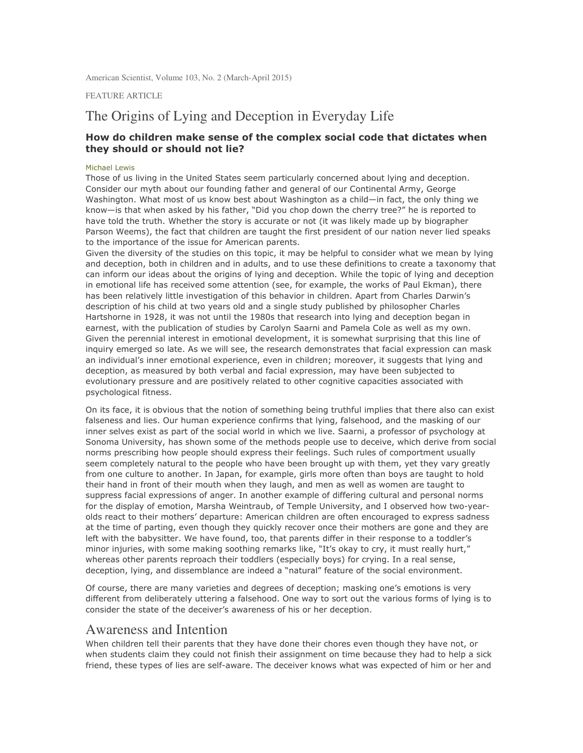American Scientist, Volume 103, No. 2 (March-April 2015)

FEATURE ARTICLE

# The Origins of Lying and Deception in Everyday Life

#### How do children make sense of the complex social code that dictates when they should or should not lie?

#### Michael Lewis

Those of us living in the United States seem particularly concerned about lying and deception. Consider our myth about our founding father and general of our Continental Army, George Washington. What most of us know best about Washington as a child—in fact, the only thing we know—is that when asked by his father, "Did you chop down the cherry tree?" he is reported to have told the truth. Whether the story is accurate or not (it was likely made up by biographer Parson Weems), the fact that children are taught the first president of our nation never lied speaks to the importance of the issue for American parents.

Given the diversity of the studies on this topic, it may be helpful to consider what we mean by lying and deception, both in children and in adults, and to use these definitions to create a taxonomy that can inform our ideas about the origins of lying and deception. While the topic of lying and deception in emotional life has received some attention (see, for example, the works of Paul Ekman), there has been relatively little investigation of this behavior in children. Apart from Charles Darwin's description of his child at two years old and a single study published by philosopher Charles Hartshorne in 1928, it was not until the 1980s that research into lying and deception began in earnest, with the publication of studies by Carolyn Saarni and Pamela Cole as well as my own. Given the perennial interest in emotional development, it is somewhat surprising that this line of inquiry emerged so late. As we will see, the research demonstrates that facial expression can mask an individual's inner emotional experience, even in children; moreover, it suggests that lying and deception, as measured by both verbal and facial expression, may have been subjected to evolutionary pressure and are positively related to other cognitive capacities associated with psychological fitness.

On its face, it is obvious that the notion of something being truthful implies that there also can exist falseness and lies. Our human experience confirms that lying, falsehood, and the masking of our inner selves exist as part of the social world in which we live. Saarni, a professor of psychology at Sonoma University, has shown some of the methods people use to deceive, which derive from social norms prescribing how people should express their feelings. Such rules of comportment usually seem completely natural to the people who have been brought up with them, yet they vary greatly from one culture to another. In Japan, for example, girls more often than boys are taught to hold their hand in front of their mouth when they laugh, and men as well as women are taught to suppress facial expressions of anger. In another example of differing cultural and personal norms for the display of emotion, Marsha Weintraub, of Temple University, and I observed how two-yearolds react to their mothers' departure: American children are often encouraged to express sadness at the time of parting, even though they quickly recover once their mothers are gone and they are left with the babysitter. We have found, too, that parents differ in their response to a toddler's minor injuries, with some making soothing remarks like, "It's okay to cry, it must really hurt," whereas other parents reproach their toddlers (especially boys) for crying. In a real sense, deception, lying, and dissemblance are indeed a "natural" feature of the social environment.

Of course, there are many varieties and degrees of deception; masking one's emotions is very different from deliberately uttering a falsehood. One way to sort out the various forms of lying is to consider the state of the deceiver's awareness of his or her deception.

#### Awareness and Intention

When children tell their parents that they have done their chores even though they have not, or when students claim they could not finish their assignment on time because they had to help a sick friend, these types of lies are self-aware. The deceiver knows what was expected of him or her and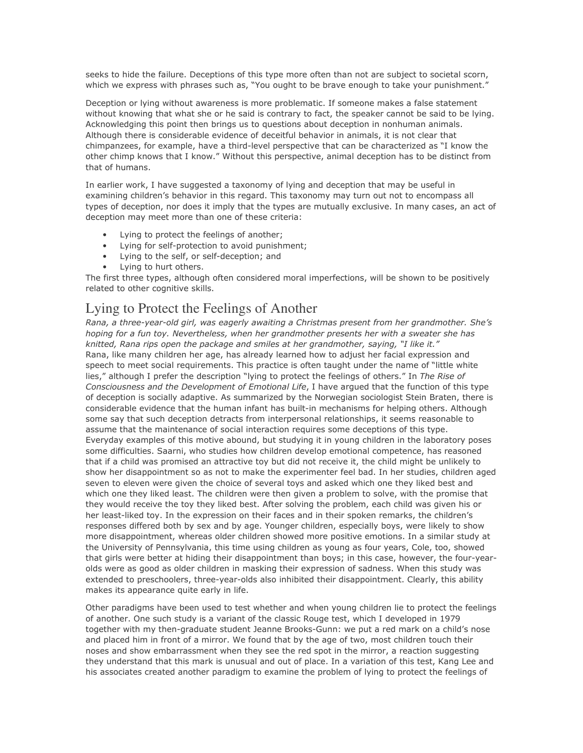seeks to hide the failure. Deceptions of this type more often than not are subject to societal scorn, which we express with phrases such as, "You ought to be brave enough to take your punishment."

Deception or lying without awareness is more problematic. If someone makes a false statement without knowing that what she or he said is contrary to fact, the speaker cannot be said to be lying. Acknowledging this point then brings us to questions about deception in nonhuman animals. Although there is considerable evidence of deceitful behavior in animals, it is not clear that chimpanzees, for example, have a third-level perspective that can be characterized as "I know the other chimp knows that I know." Without this perspective, animal deception has to be distinct from that of humans.

In earlier work, I have suggested a taxonomy of lying and deception that may be useful in examining children's behavior in this regard. This taxonomy may turn out not to encompass all types of deception, nor does it imply that the types are mutually exclusive. In many cases, an act of deception may meet more than one of these criteria:

- Lying to protect the feelings of another;
- Lying for self-protection to avoid punishment;
- Lying to the self, or self-deception; and
- Lying to hurt others.

The first three types, although often considered moral imperfections, will be shown to be positively related to other cognitive skills.

## Lying to Protect the Feelings of Another

Rana, a three-year-old girl, was eagerly awaiting a Christmas present from her grandmother. She's hoping for a fun toy. Nevertheless, when her grandmother presents her with a sweater she has knitted, Rana rips open the package and smiles at her grandmother, saying, "I like it." Rana, like many children her age, has already learned how to adjust her facial expression and speech to meet social requirements. This practice is often taught under the name of "little white lies," although I prefer the description "lying to protect the feelings of others." In The Rise of Consciousness and the Development of Emotional Life, I have argued that the function of this type of deception is socially adaptive. As summarized by the Norwegian sociologist Stein Braten, there is considerable evidence that the human infant has built-in mechanisms for helping others. Although some say that such deception detracts from interpersonal relationships, it seems reasonable to assume that the maintenance of social interaction requires some deceptions of this type. Everyday examples of this motive abound, but studying it in young children in the laboratory poses some difficulties. Saarni, who studies how children develop emotional competence, has reasoned that if a child was promised an attractive toy but did not receive it, the child might be unlikely to show her disappointment so as not to make the experimenter feel bad. In her studies, children aged seven to eleven were given the choice of several toys and asked which one they liked best and which one they liked least. The children were then given a problem to solve, with the promise that they would receive the toy they liked best. After solving the problem, each child was given his or her least-liked toy. In the expression on their faces and in their spoken remarks, the children's responses differed both by sex and by age. Younger children, especially boys, were likely to show more disappointment, whereas older children showed more positive emotions. In a similar study at the University of Pennsylvania, this time using children as young as four years, Cole, too, showed that girls were better at hiding their disappointment than boys; in this case, however, the four-yearolds were as good as older children in masking their expression of sadness. When this study was extended to preschoolers, three-year-olds also inhibited their disappointment. Clearly, this ability makes its appearance quite early in life.

Other paradigms have been used to test whether and when young children lie to protect the feelings of another. One such study is a variant of the classic Rouge test, which I developed in 1979 together with my then-graduate student Jeanne Brooks-Gunn: we put a red mark on a child's nose and placed him in front of a mirror. We found that by the age of two, most children touch their noses and show embarrassment when they see the red spot in the mirror, a reaction suggesting they understand that this mark is unusual and out of place. In a variation of this test, Kang Lee and his associates created another paradigm to examine the problem of lying to protect the feelings of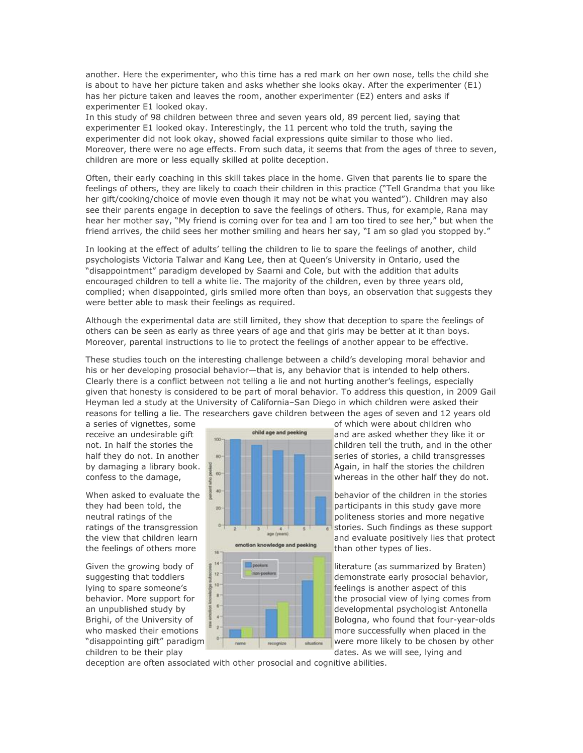another. Here the experimenter, who this time has a red mark on her own nose, tells the child she is about to have her picture taken and asks whether she looks okay. After the experimenter (E1) has her picture taken and leaves the room, another experimenter (E2) enters and asks if experimenter E1 looked okay.

In this study of 98 children between three and seven years old, 89 percent lied, saying that experimenter E1 looked okay. Interestingly, the 11 percent who told the truth, saying the experimenter did not look okay, showed facial expressions quite similar to those who lied. Moreover, there were no age effects. From such data, it seems that from the ages of three to seven, children are more or less equally skilled at polite deception.

Often, their early coaching in this skill takes place in the home. Given that parents lie to spare the feelings of others, they are likely to coach their children in this practice ("Tell Grandma that you like her gift/cooking/choice of movie even though it may not be what you wanted"). Children may also see their parents engage in deception to save the feelings of others. Thus, for example, Rana may hear her mother say, "My friend is coming over for tea and I am too tired to see her," but when the friend arrives, the child sees her mother smiling and hears her say, "I am so glad you stopped by."

In looking at the effect of adults' telling the children to lie to spare the feelings of another, child psychologists Victoria Talwar and Kang Lee, then at Queen's University in Ontario, used the "disappointment" paradigm developed by Saarni and Cole, but with the addition that adults encouraged children to tell a white lie. The majority of the children, even by three years old, complied; when disappointed, girls smiled more often than boys, an observation that suggests they were better able to mask their feelings as required.

Although the experimental data are still limited, they show that deception to spare the feelings of others can be seen as early as three years of age and that girls may be better at it than boys. Moreover, parental instructions to lie to protect the feelings of another appear to be effective.

These studies touch on the interesting challenge between a child's developing moral behavior and his or her developing prosocial behavior—that is, any behavior that is intended to help others. Clearly there is a conflict between not telling a lie and not hurting another's feelings, especially given that honesty is considered to be part of moral behavior. To address this question, in 2009 Gail Heyman led a study at the University of California–San Diego in which children were asked their reasons for telling a lie. The researchers gave children between the ages of seven and 12 years old

children to be their play dates. As we will see, lying and



a series of vignettes, some of which were about children who<br>receive an undesirable gift of the studies of the studies of and are asked whether they like it receive an undesirable gift  $\frac{1}{100}$  and are asked whether they like it or not. In half the stories the children tell the truth, and in the other half they do not. In another series of stories, a child transgresses by damaging a library book.  $\frac{1}{2}$   $\frac{1}{2}$   $\frac{1}{2}$   $\frac{1}{2}$   $\frac{1}{2}$   $\frac{1}{2}$  Again, in half the stories the children confess to the damage, whereas in the other half they do not.

they had been told, the  $p_{\text{max}}$  and  $p_{\text{max}}$  is participants in this study gave more neutral ratings of the politicial politicial politicial politicial politicial politicial politicial politicial politicial politicial politicial politicial politicial politicial politicial politicial politicial politicial p ratings of the transgression stories. Such findings as these support the view that children learn and evaluate positively lies that protect<br>the feeling of these of the set of the set of the set of the set of the set of the set of the set of the set of the set of the set of the set of the se

suggesting that toddlers  $\frac{d}{dx}$  demonstrate early prosocial behavior, lying to spare someone's  $\frac{1}{2}$  feelings is another aspect of this behavior. More support for the prosocial view of lying comes from an unpublished study by developmental psychologist Antonella Brighi, of the University of Bologna, who found that four-year-olds who masked their emotions  $\begin{array}{c} \begin{array}{c} \begin{array}{c} \end{array} \end{array}$  more successfully when placed in the "disappointing gift" paradigm were more likely to be chosen by other

deception are often associated with other prosocial and cognitive abilities.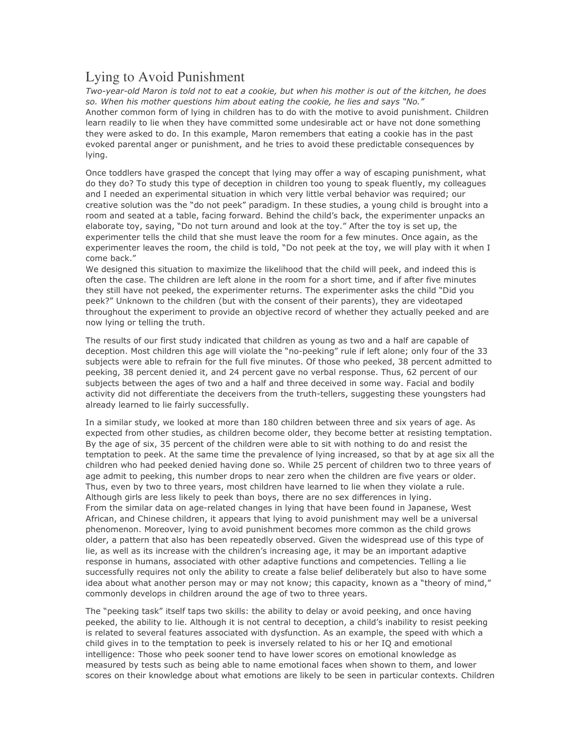## Lying to Avoid Punishment

Two-year-old Maron is told not to eat a cookie, but when his mother is out of the kitchen, he does so. When his mother questions him about eating the cookie, he lies and says "No." Another common form of lying in children has to do with the motive to avoid punishment. Children learn readily to lie when they have committed some undesirable act or have not done something they were asked to do. In this example, Maron remembers that eating a cookie has in the past evoked parental anger or punishment, and he tries to avoid these predictable consequences by lying.

Once toddlers have grasped the concept that lying may offer a way of escaping punishment, what do they do? To study this type of deception in children too young to speak fluently, my colleagues and I needed an experimental situation in which very little verbal behavior was required; our creative solution was the "do not peek" paradigm. In these studies, a young child is brought into a room and seated at a table, facing forward. Behind the child's back, the experimenter unpacks an elaborate toy, saying, "Do not turn around and look at the toy." After the toy is set up, the experimenter tells the child that she must leave the room for a few minutes. Once again, as the experimenter leaves the room, the child is told, "Do not peek at the toy, we will play with it when I come back."

We designed this situation to maximize the likelihood that the child will peek, and indeed this is often the case. The children are left alone in the room for a short time, and if after five minutes they still have not peeked, the experimenter returns. The experimenter asks the child "Did you peek?" Unknown to the children (but with the consent of their parents), they are videotaped throughout the experiment to provide an objective record of whether they actually peeked and are now lying or telling the truth.

The results of our first study indicated that children as young as two and a half are capable of deception. Most children this age will violate the "no-peeking" rule if left alone; only four of the 33 subjects were able to refrain for the full five minutes. Of those who peeked, 38 percent admitted to peeking, 38 percent denied it, and 24 percent gave no verbal response. Thus, 62 percent of our subjects between the ages of two and a half and three deceived in some way. Facial and bodily activity did not differentiate the deceivers from the truth-tellers, suggesting these youngsters had already learned to lie fairly successfully.

In a similar study, we looked at more than 180 children between three and six years of age. As expected from other studies, as children become older, they become better at resisting temptation. By the age of six, 35 percent of the children were able to sit with nothing to do and resist the temptation to peek. At the same time the prevalence of lying increased, so that by at age six all the children who had peeked denied having done so. While 25 percent of children two to three years of age admit to peeking, this number drops to near zero when the children are five years or older. Thus, even by two to three years, most children have learned to lie when they violate a rule. Although girls are less likely to peek than boys, there are no sex differences in lying. From the similar data on age-related changes in lying that have been found in Japanese, West African, and Chinese children, it appears that lying to avoid punishment may well be a universal phenomenon. Moreover, lying to avoid punishment becomes more common as the child grows older, a pattern that also has been repeatedly observed. Given the widespread use of this type of lie, as well as its increase with the children's increasing age, it may be an important adaptive response in humans, associated with other adaptive functions and competencies. Telling a lie successfully requires not only the ability to create a false belief deliberately but also to have some idea about what another person may or may not know; this capacity, known as a "theory of mind," commonly develops in children around the age of two to three years.

The "peeking task" itself taps two skills: the ability to delay or avoid peeking, and once having peeked, the ability to lie. Although it is not central to deception, a child's inability to resist peeking is related to several features associated with dysfunction. As an example, the speed with which a child gives in to the temptation to peek is inversely related to his or her IQ and emotional intelligence: Those who peek sooner tend to have lower scores on emotional knowledge as measured by tests such as being able to name emotional faces when shown to them, and lower scores on their knowledge about what emotions are likely to be seen in particular contexts. Children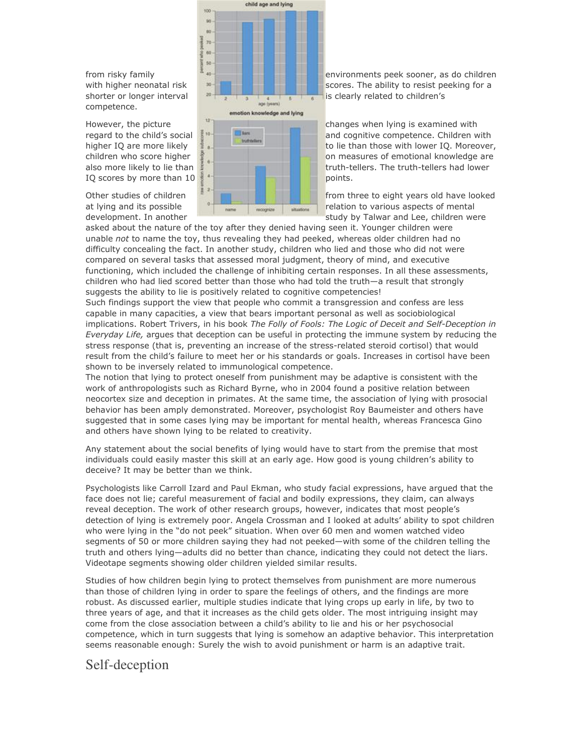competence.



with higher neonatal risk  $\mathbb{R}$   $\mathbb{R}$  scores. The ability to resist peeking for a

regard to the child's social  $\frac{1}{3}$ <sup>10</sup> **and cognitive competence.** Children with higher IQ are more likely to lie than those with lower IQ. Moreover, children who score higher  $\frac{1}{2}$  on measures of emotional knowledge are also more likely to lie than  $\frac{1}{2}$  also more likely to lie than the truth-tellers. The truth-tellers had lower

at lying and its possible relation to various aspects of mental development. In another study by Talwar and Lee, children were

asked about the nature of the toy after they denied having seen it. Younger children were unable not to name the toy, thus revealing they had peeked, whereas older children had no difficulty concealing the fact. In another study, children who lied and those who did not were compared on several tasks that assessed moral judgment, theory of mind, and executive functioning, which included the challenge of inhibiting certain responses. In all these assessments, children who had lied scored better than those who had told the truth—a result that strongly suggests the ability to lie is positively related to cognitive competencies!

Such findings support the view that people who commit a transgression and confess are less capable in many capacities, a view that bears important personal as well as sociobiological implications. Robert Trivers, in his book The Folly of Fools: The Logic of Deceit and Self-Deception in Everyday Life, argues that deception can be useful in protecting the immune system by reducing the stress response (that is, preventing an increase of the stress-related steroid cortisol) that would result from the child's failure to meet her or his standards or goals. Increases in cortisol have been shown to be inversely related to immunological competence.

The notion that lying to protect oneself from punishment may be adaptive is consistent with the work of anthropologists such as Richard Byrne, who in 2004 found a positive relation between neocortex size and deception in primates. At the same time, the association of lying with prosocial behavior has been amply demonstrated. Moreover, psychologist Roy Baumeister and others have suggested that in some cases lying may be important for mental health, whereas Francesca Gino and others have shown lying to be related to creativity.

Any statement about the social benefits of lying would have to start from the premise that most individuals could easily master this skill at an early age. How good is young children's ability to deceive? It may be better than we think.

Psychologists like Carroll Izard and Paul Ekman, who study facial expressions, have argued that the face does not lie; careful measurement of facial and bodily expressions, they claim, can always reveal deception. The work of other research groups, however, indicates that most people's detection of lying is extremely poor. Angela Crossman and I looked at adults' ability to spot children who were lying in the "do not peek" situation. When over 60 men and women watched video segments of 50 or more children saying they had not peeked—with some of the children telling the truth and others lying—adults did no better than chance, indicating they could not detect the liars. Videotape segments showing older children yielded similar results.

Studies of how children begin lying to protect themselves from punishment are more numerous than those of children lying in order to spare the feelings of others, and the findings are more robust. As discussed earlier, multiple studies indicate that lying crops up early in life, by two to three years of age, and that it increases as the child gets older. The most intriguing insight may come from the close association between a child's ability to lie and his or her psychosocial competence, which in turn suggests that lying is somehow an adaptive behavior. This interpretation seems reasonable enough: Surely the wish to avoid punishment or harm is an adaptive trait.

## Self-deception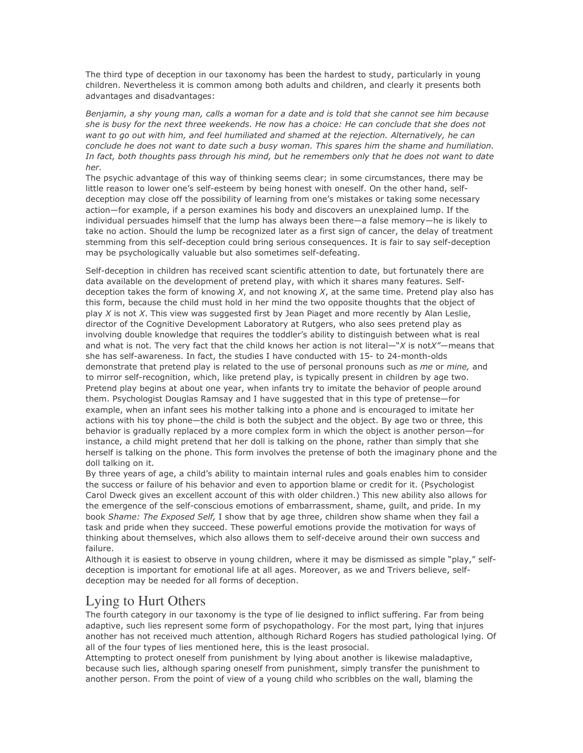The third type of deception in our taxonomy has been the hardest to study, particularly in young children. Nevertheless it is common among both adults and children, and clearly it presents both advantages and disadvantages:

Benjamin, a shy young man, calls a woman for a date and is told that she cannot see him because she is busy for the next three weekends. He now has a choice: He can conclude that she does not want to go out with him, and feel humiliated and shamed at the rejection. Alternatively, he can conclude he does not want to date such a busy woman. This spares him the shame and humiliation. In fact, both thoughts pass through his mind, but he remembers only that he does not want to date her.

The psychic advantage of this way of thinking seems clear; in some circumstances, there may be little reason to lower one's self-esteem by being honest with oneself. On the other hand, selfdeception may close off the possibility of learning from one's mistakes or taking some necessary action—for example, if a person examines his body and discovers an unexplained lump. If the individual persuades himself that the lump has always been there—a false memory—he is likely to take no action. Should the lump be recognized later as a first sign of cancer, the delay of treatment stemming from this self-deception could bring serious consequences. It is fair to say self-deception may be psychologically valuable but also sometimes self-defeating.

Self-deception in children has received scant scientific attention to date, but fortunately there are data available on the development of pretend play, with which it shares many features. Selfdeception takes the form of knowing  $X$ , and not knowing  $X$ , at the same time. Pretend play also has this form, because the child must hold in her mind the two opposite thoughts that the object of play  $X$  is not  $X$ . This view was suggested first by Jean Piaget and more recently by Alan Leslie, director of the Cognitive Development Laboratory at Rutgers, who also sees pretend play as involving double knowledge that requires the toddler's ability to distinguish between what is real and what is not. The very fact that the child knows her action is not literal— $X$  is not $X''$ —means that she has self-awareness. In fact, the studies I have conducted with 15- to 24-month-olds demonstrate that pretend play is related to the use of personal pronouns such as me or mine, and to mirror self-recognition, which, like pretend play, is typically present in children by age two. Pretend play begins at about one year, when infants try to imitate the behavior of people around them. Psychologist Douglas Ramsay and I have suggested that in this type of pretense—for example, when an infant sees his mother talking into a phone and is encouraged to imitate her actions with his toy phone—the child is both the subject and the object. By age two or three, this behavior is gradually replaced by a more complex form in which the object is another person—for instance, a child might pretend that her doll is talking on the phone, rather than simply that she herself is talking on the phone. This form involves the pretense of both the imaginary phone and the doll talking on it.

By three years of age, a child's ability to maintain internal rules and goals enables him to consider the success or failure of his behavior and even to apportion blame or credit for it. (Psychologist Carol Dweck gives an excellent account of this with older children.) This new ability also allows for the emergence of the self-conscious emotions of embarrassment, shame, guilt, and pride. In my book Shame: The Exposed Self, I show that by age three, children show shame when they fail a task and pride when they succeed. These powerful emotions provide the motivation for ways of thinking about themselves, which also allows them to self-deceive around their own success and failure.

Although it is easiest to observe in young children, where it may be dismissed as simple "play," selfdeception is important for emotional life at all ages. Moreover, as we and Trivers believe, selfdeception may be needed for all forms of deception.

## Lying to Hurt Others

The fourth category in our taxonomy is the type of lie designed to inflict suffering. Far from being adaptive, such lies represent some form of psychopathology. For the most part, lying that injures another has not received much attention, although Richard Rogers has studied pathological lying. Of all of the four types of lies mentioned here, this is the least prosocial.

Attempting to protect oneself from punishment by lying about another is likewise maladaptive, because such lies, although sparing oneself from punishment, simply transfer the punishment to another person. From the point of view of a young child who scribbles on the wall, blaming the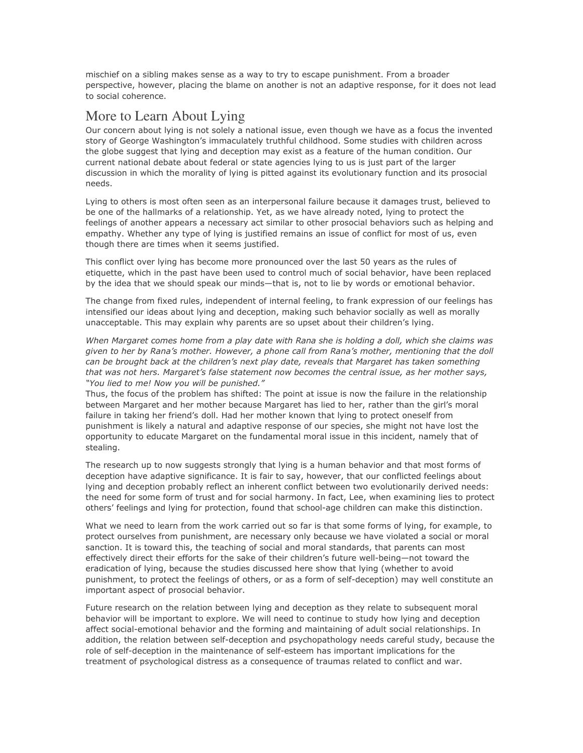mischief on a sibling makes sense as a way to try to escape punishment. From a broader perspective, however, placing the blame on another is not an adaptive response, for it does not lead to social coherence.

## More to Learn About Lying

Our concern about lying is not solely a national issue, even though we have as a focus the invented story of George Washington's immaculately truthful childhood. Some studies with children across the globe suggest that lying and deception may exist as a feature of the human condition. Our current national debate about federal or state agencies lying to us is just part of the larger discussion in which the morality of lying is pitted against its evolutionary function and its prosocial needs.

Lying to others is most often seen as an interpersonal failure because it damages trust, believed to be one of the hallmarks of a relationship. Yet, as we have already noted, lying to protect the feelings of another appears a necessary act similar to other prosocial behaviors such as helping and empathy. Whether any type of lying is justified remains an issue of conflict for most of us, even though there are times when it seems justified.

This conflict over lying has become more pronounced over the last 50 years as the rules of etiquette, which in the past have been used to control much of social behavior, have been replaced by the idea that we should speak our minds—that is, not to lie by words or emotional behavior.

The change from fixed rules, independent of internal feeling, to frank expression of our feelings has intensified our ideas about lying and deception, making such behavior socially as well as morally unacceptable. This may explain why parents are so upset about their children's lying.

When Margaret comes home from a play date with Rana she is holding a doll, which she claims was given to her by Rana's mother. However, a phone call from Rana's mother, mentioning that the doll can be brought back at the children's next play date, reveals that Margaret has taken something that was not hers. Margaret's false statement now becomes the central issue, as her mother says, "You lied to me! Now you will be punished."

Thus, the focus of the problem has shifted: The point at issue is now the failure in the relationship between Margaret and her mother because Margaret has lied to her, rather than the girl's moral failure in taking her friend's doll. Had her mother known that lying to protect oneself from punishment is likely a natural and adaptive response of our species, she might not have lost the opportunity to educate Margaret on the fundamental moral issue in this incident, namely that of stealing.

The research up to now suggests strongly that lying is a human behavior and that most forms of deception have adaptive significance. It is fair to say, however, that our conflicted feelings about lying and deception probably reflect an inherent conflict between two evolutionarily derived needs: the need for some form of trust and for social harmony. In fact, Lee, when examining lies to protect others' feelings and lying for protection, found that school-age children can make this distinction.

What we need to learn from the work carried out so far is that some forms of lying, for example, to protect ourselves from punishment, are necessary only because we have violated a social or moral sanction. It is toward this, the teaching of social and moral standards, that parents can most effectively direct their efforts for the sake of their children's future well-being—not toward the eradication of lying, because the studies discussed here show that lying (whether to avoid punishment, to protect the feelings of others, or as a form of self-deception) may well constitute an important aspect of prosocial behavior.

Future research on the relation between lying and deception as they relate to subsequent moral behavior will be important to explore. We will need to continue to study how lying and deception affect social-emotional behavior and the forming and maintaining of adult social relationships. In addition, the relation between self-deception and psychopathology needs careful study, because the role of self-deception in the maintenance of self-esteem has important implications for the treatment of psychological distress as a consequence of traumas related to conflict and war.